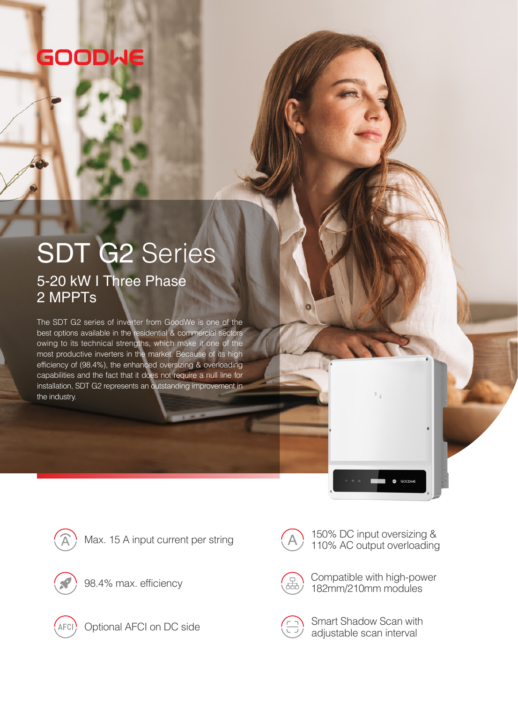## GOODWE

## SDT G2 Series 5-20 kW I Three Phase 2 MPPTs

The SDT G2 series of inverter from GoodWe is one of the best options available in the residential & commercial sectors owing to its technical strengths, which make it one of the most productive inverters in the market. Because of its high efficiency of (98.4%), the enhanced oversizing & overloading capabilities and the fact that it does not require a null line for installation, SDT G2 represents an outstanding improvement in the industry.











110% AC output overloading

M



98.4% max. efficiency Compatible with high-power 182mm/210mm modules



Optional AFCI on DC side  $\overline{\bigodot}$  Smart Shadow Scan with adjustable scan interval